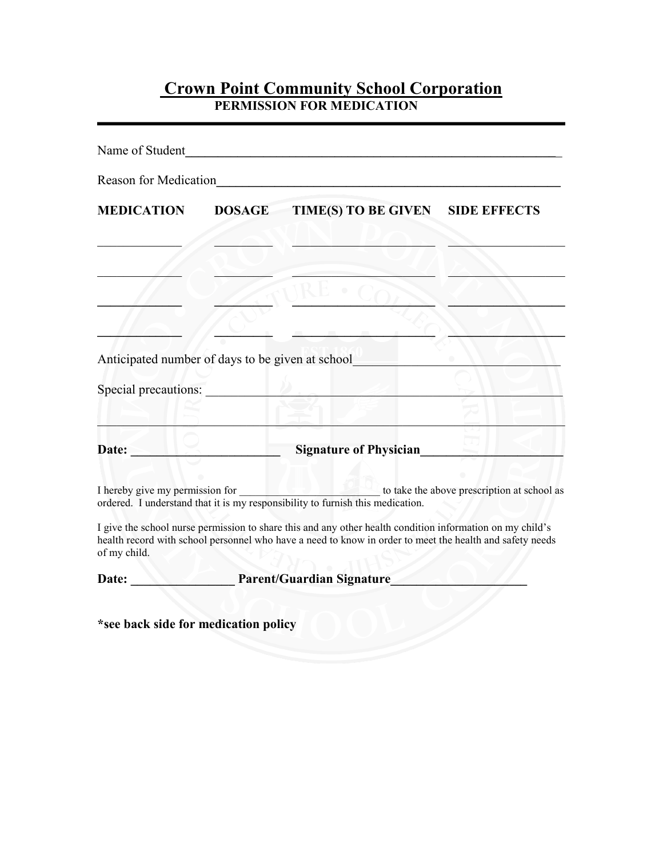## **Crown Point Community School Corporation PERMISSION FOR MEDICATION**

| Name of Student                      | <u> 1980 - Jan Barat, martin a</u>                                                                                                                                                                                    |                                             |
|--------------------------------------|-----------------------------------------------------------------------------------------------------------------------------------------------------------------------------------------------------------------------|---------------------------------------------|
| <b>Reason for Medication</b>         | <u> 1989 - John Harry Harry Harry Harry Harry Harry Harry Harry Harry Harry Harry Harry Harry Harry Harry Harry</u>                                                                                                   |                                             |
| <b>MEDICATION</b>                    | TIME(S) TO BE GIVEN<br><b>DOSAGE</b>                                                                                                                                                                                  | <b>SIDE EFFECTS</b>                         |
|                                      |                                                                                                                                                                                                                       |                                             |
|                                      |                                                                                                                                                                                                                       |                                             |
|                                      | Anticipated number of days to be given at school                                                                                                                                                                      |                                             |
| Special precautions:                 |                                                                                                                                                                                                                       |                                             |
| Date:                                | <b>Signature of Physician</b>                                                                                                                                                                                         |                                             |
| I hereby give my permission for      | ordered. I understand that it is my responsibility to furnish this medication.                                                                                                                                        | to take the above prescription at school as |
| of my child.                         | I give the school nurse permission to share this and any other health condition information on my child's<br>health record with school personnel who have a need to know in order to meet the health and safety needs |                                             |
| Date:                                | Parent/Guardian Signature_                                                                                                                                                                                            |                                             |
| *see back side for medication policy |                                                                                                                                                                                                                       |                                             |